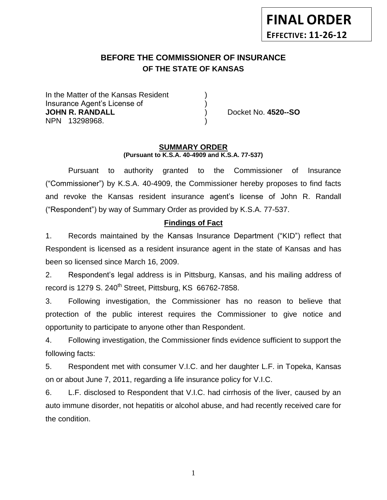# **FINAL ORDER EFFECTIVE: 11-26-12**

## **BEFORE THE COMMISSIONER OF INSURANCE OF THE STATE OF KANSAS** *-12*

In the Matter of the Kansas Resident Insurance Agent's License of ) **JOHN R. RANDALL** ) Docket No. **4520--SO** NPN 13298968. )

#### **SUMMARY ORDER (Pursuant to K.S.A. 40-4909 and K.S.A. 77-537)**

Pursuant to authority granted to the Commissioner of Insurance ("Commissioner") by K.S.A. 40-4909, the Commissioner hereby proposes to find facts and revoke the Kansas resident insurance agent's license of John R. Randall ("Respondent") by way of Summary Order as provided by K.S.A. 77-537.

# **Findings of Fact**

1. Records maintained by the Kansas Insurance Department ("KID") reflect that Respondent is licensed as a resident insurance agent in the state of Kansas and has been so licensed since March 16, 2009.

2. Respondent's legal address is in Pittsburg, Kansas, and his mailing address of record is 1279 S. 240<sup>th</sup> Street, Pittsburg, KS 66762-7858.

3. Following investigation, the Commissioner has no reason to believe that protection of the public interest requires the Commissioner to give notice and opportunity to participate to anyone other than Respondent.

4. Following investigation, the Commissioner finds evidence sufficient to support the following facts:

5. Respondent met with consumer V.I.C. and her daughter L.F. in Topeka, Kansas on or about June 7, 2011, regarding a life insurance policy for V.I.C.

6. L.F. disclosed to Respondent that V.I.C. had cirrhosis of the liver, caused by an auto immune disorder, not hepatitis or alcohol abuse, and had recently received care for the condition.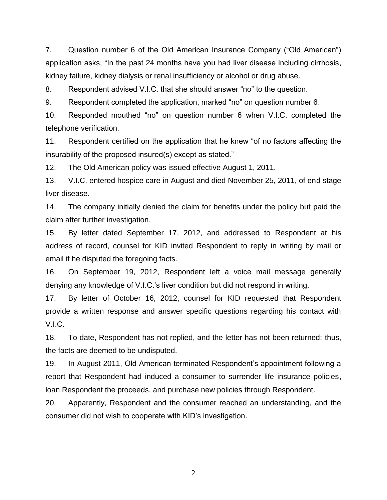7. Question number 6 of the Old American Insurance Company ("Old American") application asks, "In the past 24 months have you had liver disease including cirrhosis, kidney failure, kidney dialysis or renal insufficiency or alcohol or drug abuse.

8. Respondent advised V.I.C. that she should answer "no" to the question.

9. Respondent completed the application, marked "no" on question number 6.

10. Responded mouthed "no" on question number 6 when V.I.C. completed the telephone verification.

11. Respondent certified on the application that he knew "of no factors affecting the insurability of the proposed insured(s) except as stated."

12. The Old American policy was issued effective August 1, 2011.

13. V.I.C. entered hospice care in August and died November 25, 2011, of end stage liver disease.

14. The company initially denied the claim for benefits under the policy but paid the claim after further investigation.

15. By letter dated September 17, 2012, and addressed to Respondent at his address of record, counsel for KID invited Respondent to reply in writing by mail or email if he disputed the foregoing facts.

16. On September 19, 2012, Respondent left a voice mail message generally denying any knowledge of V.I.C.'s liver condition but did not respond in writing.

17. By letter of October 16, 2012, counsel for KID requested that Respondent provide a written response and answer specific questions regarding his contact with V.I.C.

18. To date, Respondent has not replied, and the letter has not been returned; thus, the facts are deemed to be undisputed.

19. In August 2011, Old American terminated Respondent's appointment following a report that Respondent had induced a consumer to surrender life insurance policies, loan Respondent the proceeds, and purchase new policies through Respondent.

20. Apparently, Respondent and the consumer reached an understanding, and the consumer did not wish to cooperate with KID's investigation.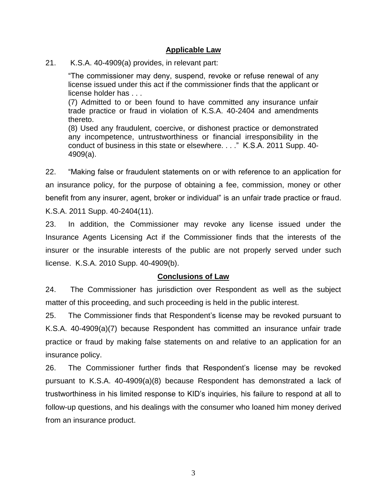## **Applicable Law**

21. K.S.A. 40-4909(a) provides, in relevant part:

"The commissioner may deny, suspend, revoke or refuse renewal of any license issued under this act if the commissioner finds that the applicant or license holder has . . .

(7) Admitted to or been found to have committed any insurance unfair trade practice or fraud in violation of K.S.A. 40-2404 and amendments thereto.

(8) Used any fraudulent, coercive, or dishonest practice or demonstrated any incompetence, untrustworthiness or financial irresponsibility in the conduct of business in this state or elsewhere. . . ." K.S.A. 2011 Supp. 40- 4909(a).

22. "Making false or fraudulent statements on or with reference to an application for an insurance policy, for the purpose of obtaining a fee, commission, money or other benefit from any insurer, agent, broker or individual" is an unfair trade practice or fraud. K.S.A. 2011 Supp. 40-2404(11).

23. In addition, the Commissioner may revoke any license issued under the Insurance Agents Licensing Act if the Commissioner finds that the interests of the insurer or the insurable interests of the public are not properly served under such license. K.S.A. 2010 Supp. 40-4909(b).

## **Conclusions of Law**

24. The Commissioner has jurisdiction over Respondent as well as the subject matter of this proceeding, and such proceeding is held in the public interest.

25. The Commissioner finds that Respondent's license may be revoked pursuant to K.S.A. 40-4909(a)(7) because Respondent has committed an insurance unfair trade practice or fraud by making false statements on and relative to an application for an insurance policy.

26. The Commissioner further finds that Respondent's license may be revoked pursuant to K.S.A. 40-4909(a)(8) because Respondent has demonstrated a lack of trustworthiness in his limited response to KID's inquiries, his failure to respond at all to follow-up questions, and his dealings with the consumer who loaned him money derived from an insurance product.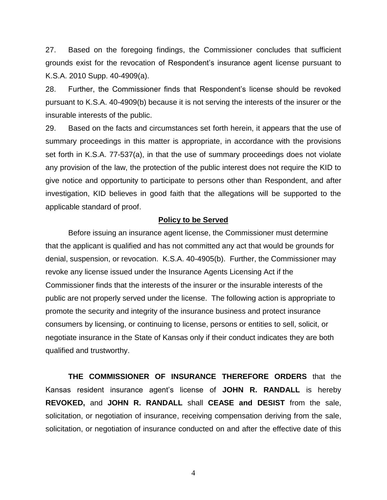27. Based on the foregoing findings, the Commissioner concludes that sufficient grounds exist for the revocation of Respondent's insurance agent license pursuant to K.S.A. 2010 Supp. 40-4909(a).

28. Further, the Commissioner finds that Respondent's license should be revoked pursuant to K.S.A. 40-4909(b) because it is not serving the interests of the insurer or the insurable interests of the public.

29. Based on the facts and circumstances set forth herein, it appears that the use of summary proceedings in this matter is appropriate, in accordance with the provisions set forth in K.S.A. 77-537(a), in that the use of summary proceedings does not violate any provision of the law, the protection of the public interest does not require the KID to give notice and opportunity to participate to persons other than Respondent, and after investigation, KID believes in good faith that the allegations will be supported to the applicable standard of proof.

## **Policy to be Served**

Before issuing an insurance agent license, the Commissioner must determine that the applicant is qualified and has not committed any act that would be grounds for denial, suspension, or revocation. K.S.A. 40-4905(b). Further, the Commissioner may revoke any license issued under the Insurance Agents Licensing Act if the Commissioner finds that the interests of the insurer or the insurable interests of the public are not properly served under the license. The following action is appropriate to promote the security and integrity of the insurance business and protect insurance consumers by licensing, or continuing to license, persons or entities to sell, solicit, or negotiate insurance in the State of Kansas only if their conduct indicates they are both qualified and trustworthy.

**THE COMMISSIONER OF INSURANCE THEREFORE ORDERS** that the Kansas resident insurance agent's license of **JOHN R. RANDALL** is hereby **REVOKED,** and **JOHN R. RANDALL** shall **CEASE and DESIST** from the sale, solicitation, or negotiation of insurance, receiving compensation deriving from the sale, solicitation, or negotiation of insurance conducted on and after the effective date of this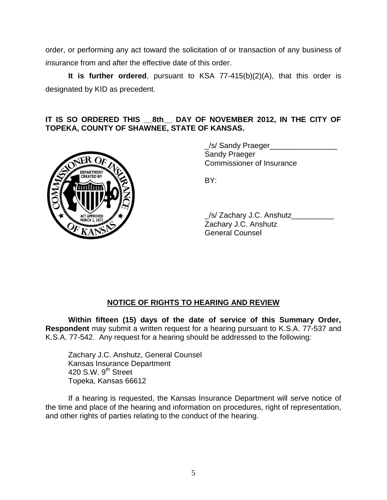order, or performing any act toward the solicitation of or transaction of any business of insurance from and after the effective date of this order.

**It is further ordered**, pursuant to KSA 77-415(b)(2)(A), that this order is designated by KID as precedent.

# **IT IS SO ORDERED THIS \_\_8th\_\_ DAY OF NOVEMBER 2012, IN THE CITY OF TOPEKA, COUNTY OF SHAWNEE, STATE OF KANSAS.**



\_/s/ Sandy Praeger\_\_\_\_\_\_\_\_\_\_\_\_\_\_\_\_ Sandy Praeger Commissioner of Insurance

BY:

\_/s/ Zachary J.C. Anshutz\_\_\_\_\_\_\_\_\_\_ Zachary J.C. Anshutz General Counsel

# **NOTICE OF RIGHTS TO HEARING AND REVIEW**

**Within fifteen (15) days of the date of service of this Summary Order, Respondent** may submit a written request for a hearing pursuant to K.S.A. 77-537 and K.S.A. 77-542. Any request for a hearing should be addressed to the following:

Zachary J.C. Anshutz, General Counsel Kansas Insurance Department 420 S.W. 9<sup>th</sup> Street Topeka, Kansas 66612

If a hearing is requested, the Kansas Insurance Department will serve notice of the time and place of the hearing and information on procedures, right of representation, and other rights of parties relating to the conduct of the hearing.